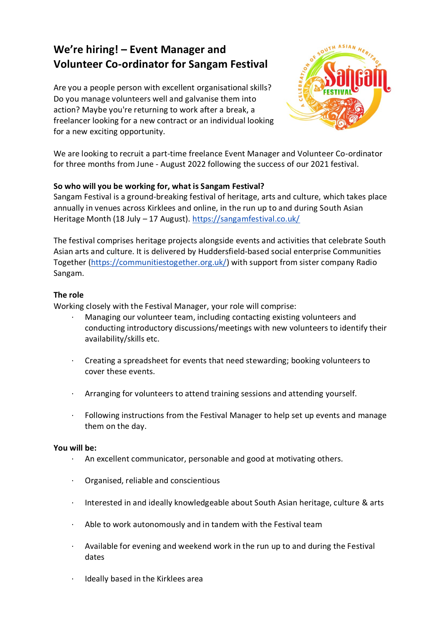# **We're hiring! – Event Manager and Volunteer Co-ordinator for Sangam Festival**

Are you a people person with excellent organisational skills? Do you manage volunteers well and galvanise them into action? Maybe you're returning to work after a break, a freelancer looking for a new contract or an individual looking for a new exciting opportunity.



We are looking to recruit a part-time freelance Event Manager and Volunteer Co-ordinator for three months from June - August 2022 following the success of our 2021 festival.

### **So who will you be working for, what is Sangam Festival?**

Sangam Festival is a ground-breaking festival of heritage, arts and culture, which takes place annually in venues across Kirklees and online, in the run up to and during South Asian Heritage Month (18 July – 17 August).<https://sangamfestival.co.uk/>

The festival comprises heritage projects alongside events and activities that celebrate South Asian arts and culture. It is delivered by Huddersfield-based social enterprise Communities Together [\(https://communitiestogether.org.uk/\)](https://communitiestogether.org.uk/) with support from sister company Radio Sangam.

## **The role**

Working closely with the Festival Manager, your role will comprise:

- · Managing our volunteer team, including contacting existing volunteers and conducting introductory discussions/meetings with new volunteers to identify their availability/skills etc.
- · Creating a spreadsheet for events that need stewarding; booking volunteers to cover these events.
- Arranging for volunteers to attend training sessions and attending yourself.
- · Following instructions from the Festival Manager to help set up events and manage them on the day.

### **You will be:**

- An excellent communicator, personable and good at motivating others.
- · Organised, reliable and conscientious
- · Interested in and ideally knowledgeable about South Asian heritage, culture & arts
- Able to work autonomously and in tandem with the Festival team
- Available for evening and weekend work in the run up to and during the Festival dates
- Ideally based in the Kirklees area